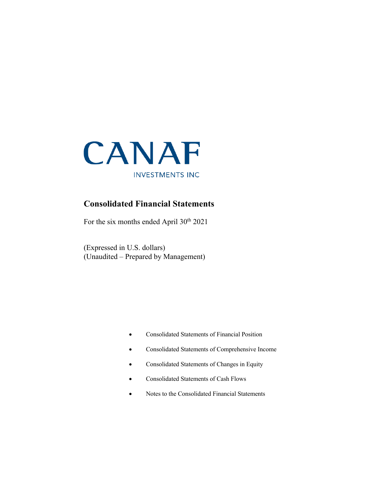

## **Consolidated Financial Statements**

For the six months ended April 30<sup>th</sup> 2021

(Expressed in U.S. dollars) (Unaudited – Prepared by Management)

- Consolidated Statements of Financial Position
- Consolidated Statements of Comprehensive Income
- Consolidated Statements of Changes in Equity
- Consolidated Statements of Cash Flows
- Notes to the Consolidated Financial Statements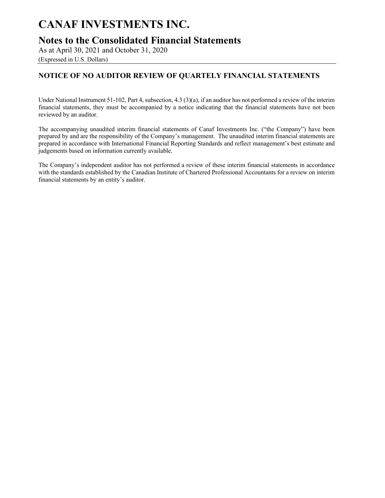## **Notes to the Consolidated Financial Statements**

As at April 30, 2021 and October 31, 2020 (Expressed in U.S. Dollars)

## **NOTICE OF NO AUDITOR REVIEW OF QUARTELY FINANCIAL STATEMENTS**

Under National Instrument 51-102, Part 4, subsection, 4.3 (3)(a), if an auditor has not performed a review of the interim financial statements, they must be accompanied by a notice indicating that the financial statements have not been reviewed by an auditor.

The accompanying unaudited interim financial statements of Canaf Investments Inc. ("the Company") have been prepared by and are the responsibility of the Company's management. The unaudited interim financial statements are prepared in accordance with International Financial Reporting Standards and reflect management's best estimate and judgements based on information currently available.

The Company's independent auditor has not performed a review of these interim financial statements in accordance with the standards established by the Canadian Institute of Chartered Professional Accountants for a review on interim financial statements by an entity's auditor.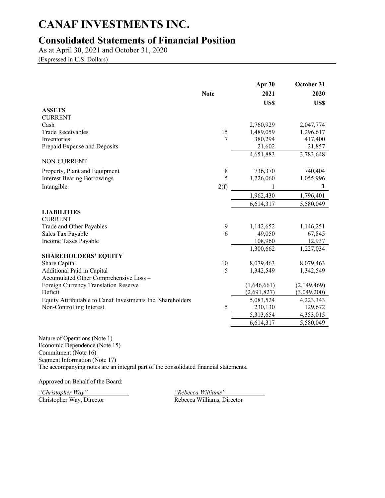# **Consolidated Statements of Financial Position**

As at April 30, 2021 and October 31, 2020

(Expressed in U.S. Dollars)

|                                                            |             | Apr 30      | October 31  |
|------------------------------------------------------------|-------------|-------------|-------------|
|                                                            | <b>Note</b> | 2021        | 2020        |
|                                                            |             | US\$        | US\$        |
| <b>ASSETS</b>                                              |             |             |             |
| <b>CURRENT</b>                                             |             |             |             |
| Cash                                                       |             | 2,760,929   | 2,047,774   |
| <b>Trade Receivables</b>                                   | 15          | 1,489,059   | 1,296,617   |
| <b>Inventories</b>                                         | 7           | 380,294     | 417,400     |
| Prepaid Expense and Deposits                               |             | 21,602      | 21,857      |
| NON-CURRENT                                                |             | 4,651,883   | 3,783,648   |
| Property, Plant and Equipment                              | $\,$ $\,$   | 736,370     | 740,404     |
| <b>Interest Bearing Borrowings</b>                         | 5           | 1,226,060   | 1,055,996   |
| Intangible                                                 | 2(f)        |             | 1           |
|                                                            |             | 1,962,430   | 1,796,401   |
|                                                            |             | 6,614,317   | 5,580,049   |
| <b>LIABILITIES</b>                                         |             |             |             |
| <b>CURRENT</b>                                             |             |             |             |
| Trade and Other Payables                                   | 9           | 1,142,652   | 1,146,251   |
| Sales Tax Payable                                          | 6           | 49,050      | 67,845      |
| Income Taxes Payable                                       |             | 108,960     | 12,937      |
|                                                            |             | 1,300,662   | 1,227,034   |
| <b>SHAREHOLDERS' EQUITY</b>                                |             |             |             |
| Share Capital                                              | 10          | 8,079,463   | 8,079,463   |
| Additional Paid in Capital                                 | 5           | 1,342,549   | 1,342,549   |
| Accumulated Other Comprehensive Loss -                     |             |             |             |
| Foreign Currency Translation Reserve                       |             | (1,646,661) | (2,149,469) |
| Deficit                                                    |             | (2,691,827) | (3,049,200) |
| Equity Attributable to Canaf Investments Inc. Shareholders |             | 5,083,524   | 4,223,343   |
| Non-Controlling Interest                                   | 5           | 230,130     | 129,672     |
|                                                            |             | 5,313,654   | 4,353,015   |
|                                                            |             | 6,614,317   | 5,580,049   |

Nature of Operations (Note 1) Economic Dependence (Note 15) Commitment (Note 16) Segment Information (Note 17) The accompanying notes are an integral part of the consolidated financial statements.

Approved on Behalf of the Board:

*"Christopher Way" "Rebecca Williams"* Christopher Way, Director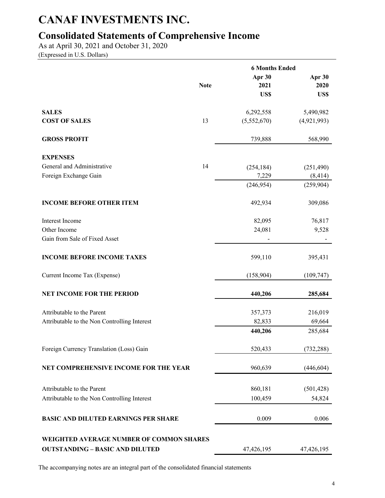# **Consolidated Statements of Comprehensive Income**

As at April 30, 2021 and October 31, 2020 (Expressed in U.S. Dollars)

|                                              |             | <b>6 Months Ended</b> |             |
|----------------------------------------------|-------------|-----------------------|-------------|
|                                              |             | Apr 30                | Apr 30      |
|                                              | <b>Note</b> | 2021                  | 2020        |
|                                              |             | US\$                  | US\$        |
| <b>SALES</b>                                 |             | 6,292,558             | 5,490,982   |
| <b>COST OF SALES</b>                         | 13          | (5,552,670)           | (4,921,993) |
| <b>GROSS PROFIT</b>                          |             | 739,888               | 568,990     |
| <b>EXPENSES</b>                              |             |                       |             |
| General and Administrative                   | 14          | (254, 184)            | (251, 490)  |
| Foreign Exchange Gain                        |             | 7,229                 | (8, 414)    |
|                                              |             | (246, 954)            | (259, 904)  |
| <b>INCOME BEFORE OTHER ITEM</b>              |             | 492,934               | 309,086     |
| Interest Income                              |             | 82,095                | 76,817      |
| Other Income                                 |             | 24,081                | 9,528       |
| Gain from Sale of Fixed Asset                |             |                       |             |
| <b>INCOME BEFORE INCOME TAXES</b>            |             | 599,110               | 395,431     |
| Current Income Tax (Expense)                 |             | (158,904)             | (109, 747)  |
| <b>NET INCOME FOR THE PERIOD</b>             |             | 440,206               | 285,684     |
| Attributable to the Parent                   |             | 357,373               | 216,019     |
| Attributable to the Non Controlling Interest |             | 82,833                | 69,664      |
|                                              |             | 440,206               | 285,684     |
| Foreign Currency Translation (Loss) Gain     |             | 520,433               | (732, 288)  |
| NET COMPREHENSIVE INCOME FOR THE YEAR        |             | 960,639               | (446, 604)  |
| Attributable to the Parent                   |             | 860,181               | (501, 428)  |
| Attributable to the Non Controlling Interest |             | 100,459               | 54,824      |
| <b>BASIC AND DILUTED EARNINGS PER SHARE</b>  |             | 0.009                 | 0.006       |
| WEIGHTED AVERAGE NUMBER OF COMMON SHARES     |             |                       |             |
| <b>OUTSTANDING - BASIC AND DILUTED</b>       |             | 47,426,195            | 47,426,195  |

The accompanying notes are an integral part of the consolidated financial statements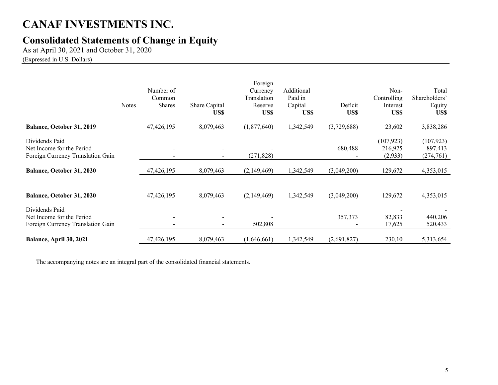# **Consolidated Statements of Change in Equity**

As at April 30, 2021 and October 31, 2020 (Expressed in U.S. Dollars)

|                                                                                  | <b>Notes</b> | Number of<br>Common<br><b>Shares</b> | Share Capital<br>US\$    | Foreign<br>Currency<br>Translation<br>Reserve<br>US\$ | Additional<br>Paid in<br>Capital<br>US\$ | Deficit<br>US\$ | Non-<br>Controlling<br>Interest<br>US\$ | Total<br>Shareholders'<br>Equity<br>US\$ |
|----------------------------------------------------------------------------------|--------------|--------------------------------------|--------------------------|-------------------------------------------------------|------------------------------------------|-----------------|-----------------------------------------|------------------------------------------|
| Balance, October 31, 2019                                                        |              | 47,426,195                           | 8,079,463                | (1,877,640)                                           | 1,342,549                                | (3,729,688)     | 23,602                                  | 3,838,286                                |
| Dividends Paid<br>Net Income for the Period<br>Foreign Currency Translation Gain |              |                                      | $\overline{\phantom{a}}$ | (271, 828)                                            |                                          | 680,488         | (107, 923)<br>216,925<br>(2,933)        | (107, 923)<br>897,413<br>(274, 761)      |
| <b>Balance, October 31, 2020</b>                                                 |              | 47,426,195                           | 8,079,463                | (2,149,469)                                           | 1,342,549                                | (3,049,200)     | 129,672                                 | 4,353,015                                |
| Balance, October 31, 2020                                                        |              | 47,426,195                           | 8,079,463                | (2,149,469)                                           | 1,342,549                                | (3,049,200)     | 129,672                                 | 4,353,015                                |
| Dividends Paid<br>Net Income for the Period<br>Foreign Currency Translation Gain |              |                                      |                          | 502,808                                               |                                          | 357,373         | 82,833<br>17,625                        | 440,206<br>520,433                       |
| Balance, April 30, 2021                                                          |              | 47,426,195                           | 8,079,463                | (1,646,661)                                           | 1,342,549                                | (2,691,827)     | 230,10                                  | 5,313,654                                |

The accompanying notes are an integral part of the consolidated financial statements.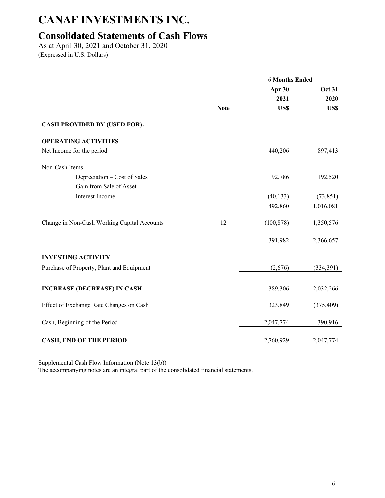# **Consolidated Statements of Cash Flows**

As at April 30, 2021 and October 31, 2020 (Expressed in U.S. Dollars)

|                                             |             | <b>6 Months Ended</b> |               |
|---------------------------------------------|-------------|-----------------------|---------------|
|                                             |             | Apr 30                | <b>Oct 31</b> |
|                                             |             | 2021                  | 2020          |
|                                             | <b>Note</b> | US\$                  | US\$          |
| <b>CASH PROVIDED BY (USED FOR):</b>         |             |                       |               |
| <b>OPERATING ACTIVITIES</b>                 |             |                       |               |
| Net Income for the period                   |             | 440,206               | 897,413       |
| Non-Cash Items                              |             |                       |               |
| Depreciation – Cost of Sales                |             | 92,786                | 192,520       |
| Gain from Sale of Asset                     |             |                       |               |
| Interest Income                             |             | (40, 133)             | (73, 851)     |
|                                             |             | 492,860               | 1,016,081     |
| Change in Non-Cash Working Capital Accounts | 12          | (100, 878)            | 1,350,576     |
|                                             |             | 391,982               | 2,366,657     |
| <b>INVESTING ACTIVITY</b>                   |             |                       |               |
| Purchase of Property, Plant and Equipment   |             | (2,676)               | (334,391)     |
| <b>INCREASE (DECREASE) IN CASH</b>          |             | 389,306               | 2,032,266     |
| Effect of Exchange Rate Changes on Cash     |             | 323,849               | (375, 409)    |
| Cash, Beginning of the Period               |             | 2,047,774             | 390,916       |
| <b>CASH, END OF THE PERIOD</b>              |             | 2,760,929             | 2,047,774     |

Supplemental Cash Flow Information (Note 13(b))

The accompanying notes are an integral part of the consolidated financial statements.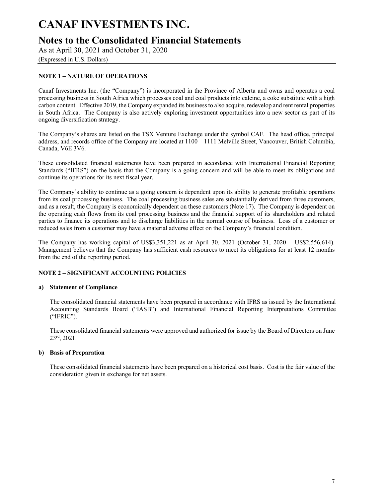# **Notes to the Consolidated Financial Statements**

As at April 30, 2021 and October 31, 2020

(Expressed in U.S. Dollars)

## **NOTE 1 – NATURE OF OPERATIONS**

Canaf Investments Inc. (the "Company") is incorporated in the Province of Alberta and owns and operates a coal processing business in South Africa which processes coal and coal products into calcine, a coke substitute with a high carbon content. Effective 2019, the Company expanded its business to also acquire, redevelop and rent rental properties in South Africa. The Company is also actively exploring investment opportunities into a new sector as part of its ongoing diversification strategy.

The Company's shares are listed on the TSX Venture Exchange under the symbol CAF. The head office, principal address, and records office of the Company are located at 1100 – 1111 Melville Street, Vancouver, British Columbia, Canada, V6E 3V6.

These consolidated financial statements have been prepared in accordance with International Financial Reporting Standards ("IFRS") on the basis that the Company is a going concern and will be able to meet its obligations and continue its operations for its next fiscal year.

The Company's ability to continue as a going concern is dependent upon its ability to generate profitable operations from its coal processing business. The coal processing business sales are substantially derived from three customers, and as a result, the Company is economically dependent on these customers (Note 17). The Company is dependent on the operating cash flows from its coal processing business and the financial support of its shareholders and related parties to finance its operations and to discharge liabilities in the normal course of business. Loss of a customer or reduced sales from a customer may have a material adverse effect on the Company's financial condition.

The Company has working capital of US\$3,351,221 as at April 30, 2021 (October 31, 2020 – US\$2,556,614). Management believes that the Company has sufficient cash resources to meet its obligations for at least 12 months from the end of the reporting period.

### **NOTE 2 – SIGNIFICANT ACCOUNTING POLICIES**

### **a) Statement of Compliance**

The consolidated financial statements have been prepared in accordance with IFRS as issued by the International Accounting Standards Board ("IASB") and International Financial Reporting Interpretations Committee ("IFRIC").

These consolidated financial statements were approved and authorized for issue by the Board of Directors on June 23rd, 2021.

### **b) Basis of Preparation**

These consolidated financial statements have been prepared on a historical cost basis. Cost is the fair value of the consideration given in exchange for net assets.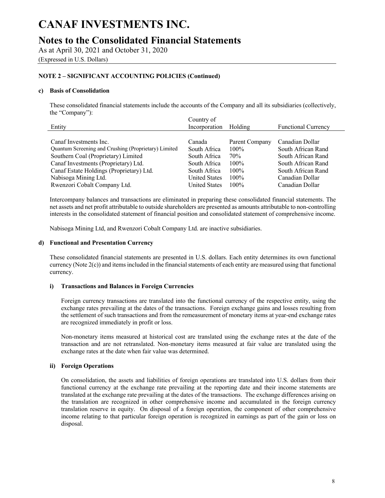# **Notes to the Consolidated Financial Statements**

As at April 30, 2021 and October 31, 2020 (Expressed in U.S. Dollars)

### **NOTE 2 – SIGNIFICANT ACCOUNTING POLICIES (Continued)**

#### **c) Basis of Consolidation**

These consolidated financial statements include the accounts of the Company and all its subsidiaries (collectively, the "Company"):

|                                                      | Country of           |                |                            |
|------------------------------------------------------|----------------------|----------------|----------------------------|
| Entity                                               | Incorporation        | Holding        | <b>Functional Currency</b> |
|                                                      |                      |                |                            |
| Canaf Investments Inc.                               | Canada               | Parent Company | Canadian Dollar            |
| Quantum Screening and Crushing (Proprietary) Limited | South Africa         | $100\%$        | South African Rand         |
| Southern Coal (Proprietary) Limited                  | South Africa         | 70%            | South African Rand         |
| Canaf Investments (Proprietary) Ltd.                 | South Africa         | $100\%$        | South African Rand         |
| Canaf Estate Holdings (Proprietary) Ltd.             | South Africa         | $100\%$        | South African Rand         |
| Nabisoga Mining Ltd.                                 | <b>United States</b> | $100\%$        | Canadian Dollar            |
| Rwenzori Cobalt Company Ltd.                         | <b>United States</b> | $100\%$        | Canadian Dollar            |

Intercompany balances and transactions are eliminated in preparing these consolidated financial statements. The net assets and net profit attributable to outside shareholders are presented as amounts attributable to non-controlling interests in the consolidated statement of financial position and consolidated statement of comprehensive income.

Nabisoga Mining Ltd, and Rwenzori Cobalt Company Ltd. are inactive subsidiaries.

#### **d) Functional and Presentation Currency**

These consolidated financial statements are presented in U.S. dollars. Each entity determines its own functional currency (Note 2(c)) and items included in the financial statements of each entity are measured using that functional currency.

### **i) Transactions and Balances in Foreign Currencies**

Foreign currency transactions are translated into the functional currency of the respective entity, using the exchange rates prevailing at the dates of the transactions. Foreign exchange gains and losses resulting from the settlement of such transactions and from the remeasurement of monetary items at year-end exchange rates are recognized immediately in profit or loss.

Non-monetary items measured at historical cost are translated using the exchange rates at the date of the transaction and are not retranslated. Non-monetary items measured at fair value are translated using the exchange rates at the date when fair value was determined.

### **ii) Foreign Operations**

On consolidation, the assets and liabilities of foreign operations are translated into U.S. dollars from their functional currency at the exchange rate prevailing at the reporting date and their income statements are translated at the exchange rate prevailing at the dates of the transactions. The exchange differences arising on the translation are recognized in other comprehensive income and accumulated in the foreign currency translation reserve in equity. On disposal of a foreign operation, the component of other comprehensive income relating to that particular foreign operation is recognized in earnings as part of the gain or loss on disposal.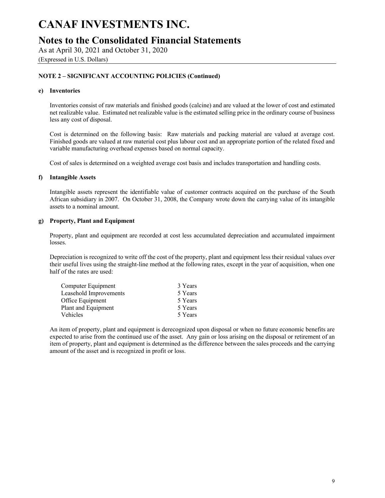## **Notes to the Consolidated Financial Statements**

As at April 30, 2021 and October 31, 2020 (Expressed in U.S. Dollars)

### **NOTE 2 – SIGNIFICANT ACCOUNTING POLICIES (Continued)**

#### **e) Inventories**

Inventories consist of raw materials and finished goods (calcine) and are valued at the lower of cost and estimated net realizable value. Estimated net realizable value is the estimated selling price in the ordinary course of business less any cost of disposal.

Cost is determined on the following basis: Raw materials and packing material are valued at average cost. Finished goods are valued at raw material cost plus labour cost and an appropriate portion of the related fixed and variable manufacturing overhead expenses based on normal capacity.

Cost of sales is determined on a weighted average cost basis and includes transportation and handling costs.

### **f) Intangible Assets**

Intangible assets represent the identifiable value of customer contracts acquired on the purchase of the South African subsidiary in 2007. On October 31, 2008, the Company wrote down the carrying value of its intangible assets to a nominal amount.

### **g) Property, Plant and Equipment**

Property, plant and equipment are recorded at cost less accumulated depreciation and accumulated impairment losses.

Depreciation is recognized to write off the cost of the property, plant and equipment less their residual values over their useful lives using the straight-line method at the following rates, except in the year of acquisition, when one half of the rates are used:

| 3 Years |
|---------|
| 5 Years |
| 5 Years |
| 5 Years |
| 5 Years |
|         |

An item of property, plant and equipment is derecognized upon disposal or when no future economic benefits are expected to arise from the continued use of the asset. Any gain or loss arising on the disposal or retirement of an item of property, plant and equipment is determined as the difference between the sales proceeds and the carrying amount of the asset and is recognized in profit or loss.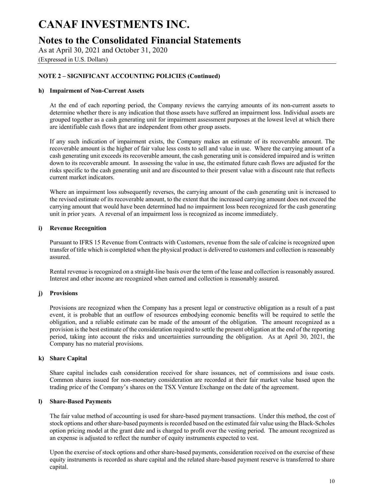# **Notes to the Consolidated Financial Statements**

As at April 30, 2021 and October 31, 2020 (Expressed in U.S. Dollars)

### **NOTE 2 – SIGNIFICANT ACCOUNTING POLICIES (Continued)**

### **h) Impairment of Non-Current Assets**

At the end of each reporting period, the Company reviews the carrying amounts of its non-current assets to determine whether there is any indication that those assets have suffered an impairment loss. Individual assets are grouped together as a cash generating unit for impairment assessment purposes at the lowest level at which there are identifiable cash flows that are independent from other group assets.

If any such indication of impairment exists, the Company makes an estimate of its recoverable amount. The recoverable amount is the higher of fair value less costs to sell and value in use. Where the carrying amount of a cash generating unit exceeds its recoverable amount, the cash generating unit is considered impaired and is written down to its recoverable amount. In assessing the value in use, the estimated future cash flows are adjusted for the risks specific to the cash generating unit and are discounted to their present value with a discount rate that reflects current market indicators.

Where an impairment loss subsequently reverses, the carrying amount of the cash generating unit is increased to the revised estimate of its recoverable amount, to the extent that the increased carrying amount does not exceed the carrying amount that would have been determined had no impairment loss been recognized for the cash generating unit in prior years. A reversal of an impairment loss is recognized as income immediately.

### **i) Revenue Recognition**

Pursuant to IFRS 15 Revenue from Contracts with Customers, revenue from the sale of calcine is recognized upon transfer of title which is completed when the physical product is delivered to customers and collection is reasonably assured.

Rental revenue is recognized on a straight-line basis over the term of the lease and collection is reasonably assured. Interest and other income are recognized when earned and collection is reasonably assured.

### **j) Provisions**

Provisions are recognized when the Company has a present legal or constructive obligation as a result of a past event, it is probable that an outflow of resources embodying economic benefits will be required to settle the obligation, and a reliable estimate can be made of the amount of the obligation. The amount recognized as a provision is the best estimate of the consideration required to settle the present obligation at the end of the reporting period, taking into account the risks and uncertainties surrounding the obligation. As at April 30, 2021, the Company has no material provisions.

### **k) Share Capital**

Share capital includes cash consideration received for share issuances, net of commissions and issue costs. Common shares issued for non-monetary consideration are recorded at their fair market value based upon the trading price of the Company's shares on the TSX Venture Exchange on the date of the agreement.

### **l) Share-Based Payments**

The fair value method of accounting is used for share-based payment transactions. Under this method, the cost of stock options and other share-based payments is recorded based on the estimated fair value using the Black-Scholes option pricing model at the grant date and is charged to profit over the vesting period. The amount recognized as an expense is adjusted to reflect the number of equity instruments expected to vest.

Upon the exercise of stock options and other share-based payments, consideration received on the exercise of these equity instruments is recorded as share capital and the related share-based payment reserve is transferred to share capital.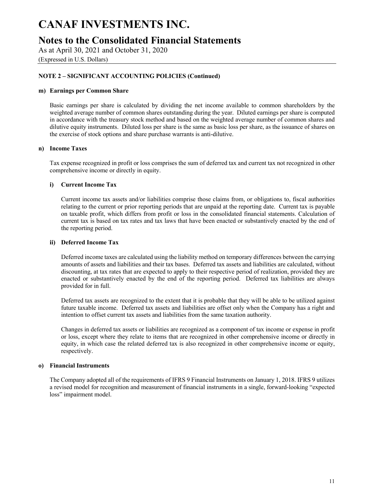## **Notes to the Consolidated Financial Statements**

As at April 30, 2021 and October 31, 2020 (Expressed in U.S. Dollars)

### **NOTE 2 – SIGNIFICANT ACCOUNTING POLICIES (Continued)**

#### **m) Earnings per Common Share**

Basic earnings per share is calculated by dividing the net income available to common shareholders by the weighted average number of common shares outstanding during the year. Diluted earnings per share is computed in accordance with the treasury stock method and based on the weighted average number of common shares and dilutive equity instruments. Diluted loss per share is the same as basic loss per share, as the issuance of shares on the exercise of stock options and share purchase warrants is anti-dilutive.

#### **n) Income Taxes**

Tax expense recognized in profit or loss comprises the sum of deferred tax and current tax not recognized in other comprehensive income or directly in equity.

#### **i) Current Income Tax**

Current income tax assets and/or liabilities comprise those claims from, or obligations to, fiscal authorities relating to the current or prior reporting periods that are unpaid at the reporting date. Current tax is payable on taxable profit, which differs from profit or loss in the consolidated financial statements. Calculation of current tax is based on tax rates and tax laws that have been enacted or substantively enacted by the end of the reporting period.

#### **ii) Deferred Income Tax**

Deferred income taxes are calculated using the liability method on temporary differences between the carrying amounts of assets and liabilities and their tax bases. Deferred tax assets and liabilities are calculated, without discounting, at tax rates that are expected to apply to their respective period of realization, provided they are enacted or substantively enacted by the end of the reporting period. Deferred tax liabilities are always provided for in full.

Deferred tax assets are recognized to the extent that it is probable that they will be able to be utilized against future taxable income. Deferred tax assets and liabilities are offset only when the Company has a right and intention to offset current tax assets and liabilities from the same taxation authority.

Changes in deferred tax assets or liabilities are recognized as a component of tax income or expense in profit or loss, except where they relate to items that are recognized in other comprehensive income or directly in equity, in which case the related deferred tax is also recognized in other comprehensive income or equity, respectively.

#### **o) Financial Instruments**

The Company adopted all of the requirements of IFRS 9 Financial Instruments on January 1, 2018. IFRS 9 utilizes a revised model for recognition and measurement of financial instruments in a single, forward-looking "expected loss" impairment model.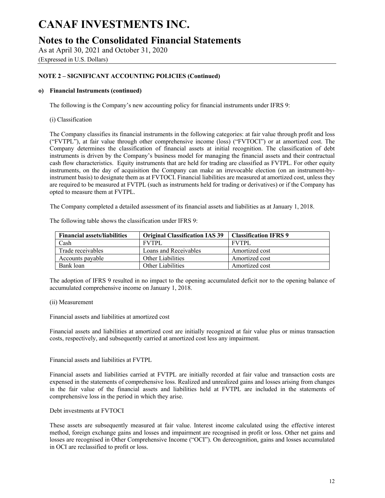# **Notes to the Consolidated Financial Statements**

As at April 30, 2021 and October 31, 2020 (Expressed in U.S. Dollars)

### **NOTE 2 – SIGNIFICANT ACCOUNTING POLICIES (Continued)**

### **o) Financial Instruments (continued)**

The following is the Company's new accounting policy for financial instruments under IFRS 9:

### (i) Classification

The Company classifies its financial instruments in the following categories: at fair value through profit and loss ("FVTPL"), at fair value through other comprehensive income (loss) ("FVTOCI") or at amortized cost. The Company determines the classification of financial assets at initial recognition. The classification of debt instruments is driven by the Company's business model for managing the financial assets and their contractual cash flow characteristics. Equity instruments that are held for trading are classified as FVTPL. For other equity instruments, on the day of acquisition the Company can make an irrevocable election (on an instrument-byinstrument basis) to designate them as at FVTOCI. Financial liabilities are measured at amortized cost, unless they are required to be measured at FVTPL (such as instruments held for trading or derivatives) or if the Company has opted to measure them at FVTPL.

The Company completed a detailed assessment of its financial assets and liabilities as at January 1, 2018.

| The following table shows the classification under IFRS 9: |  |  |
|------------------------------------------------------------|--|--|
|                                                            |  |  |

| <b>Financial assets/liabilities</b> | <b>Original Classification IAS 39</b> | <b>Classification IFRS 9</b> |
|-------------------------------------|---------------------------------------|------------------------------|
| Cash                                | <b>FVTPL</b>                          | <b>FVTPL</b>                 |
| Trade receivables                   | Loans and Receivables                 | Amortized cost               |
| Accounts payable                    | Other Liabilities                     | Amortized cost               |
| Bank loan                           | Other Liabilities                     | Amortized cost               |

The adoption of IFRS 9 resulted in no impact to the opening accumulated deficit nor to the opening balance of accumulated comprehensive income on January 1, 2018.

### (ii) Measurement

Financial assets and liabilities at amortized cost

Financial assets and liabilities at amortized cost are initially recognized at fair value plus or minus transaction costs, respectively, and subsequently carried at amortized cost less any impairment.

Financial assets and liabilities at FVTPL

Financial assets and liabilities carried at FVTPL are initially recorded at fair value and transaction costs are expensed in the statements of comprehensive loss. Realized and unrealized gains and losses arising from changes in the fair value of the financial assets and liabilities held at FVTPL are included in the statements of comprehensive loss in the period in which they arise.

### Debt investments at FVTOCI

These assets are subsequently measured at fair value. Interest income calculated using the effective interest method, foreign exchange gains and losses and impairment are recognised in profit or loss. Other net gains and losses are recognised in Other Comprehensive Income ("OCI"). On derecognition, gains and losses accumulated in OCI are reclassified to profit or loss.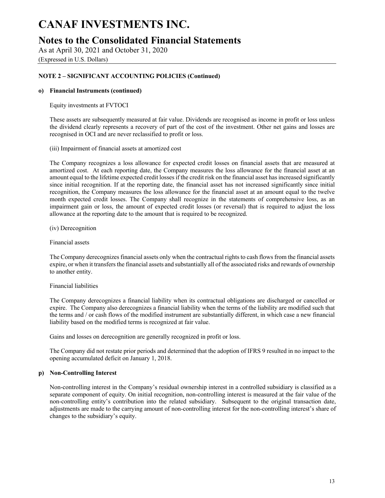## **Notes to the Consolidated Financial Statements**

As at April 30, 2021 and October 31, 2020 (Expressed in U.S. Dollars)

### **NOTE 2 – SIGNIFICANT ACCOUNTING POLICIES (Continued)**

### **o) Financial Instruments (continued)**

Equity investments at FVTOCI

These assets are subsequently measured at fair value. Dividends are recognised as income in profit or loss unless the dividend clearly represents a recovery of part of the cost of the investment. Other net gains and losses are recognised in OCI and are never reclassified to profit or loss.

(iii) Impairment of financial assets at amortized cost

The Company recognizes a loss allowance for expected credit losses on financial assets that are measured at amortized cost. At each reporting date, the Company measures the loss allowance for the financial asset at an amount equal to the lifetime expected credit losses if the credit risk on the financial asset has increased significantly since initial recognition. If at the reporting date, the financial asset has not increased significantly since initial recognition, the Company measures the loss allowance for the financial asset at an amount equal to the twelve month expected credit losses. The Company shall recognize in the statements of comprehensive loss, as an impairment gain or loss, the amount of expected credit losses (or reversal) that is required to adjust the loss allowance at the reporting date to the amount that is required to be recognized.

(iv) Derecognition

Financial assets

The Company derecognizes financial assets only when the contractual rights to cash flows from the financial assets expire, or when it transfers the financial assets and substantially all of the associated risks and rewards of ownership to another entity.

### Financial liabilities

The Company derecognizes a financial liability when its contractual obligations are discharged or cancelled or expire. The Company also derecognizes a financial liability when the terms of the liability are modified such that the terms and / or cash flows of the modified instrument are substantially different, in which case a new financial liability based on the modified terms is recognized at fair value.

Gains and losses on derecognition are generally recognized in profit or loss.

The Company did not restate prior periods and determined that the adoption of IFRS 9 resulted in no impact to the opening accumulated deficit on January 1, 2018.

### **p) Non-Controlling Interest**

Non-controlling interest in the Company's residual ownership interest in a controlled subsidiary is classified as a separate component of equity. On initial recognition, non-controlling interest is measured at the fair value of the non-controlling entity's contribution into the related subsidiary. Subsequent to the original transaction date, adjustments are made to the carrying amount of non-controlling interest for the non-controlling interest's share of changes to the subsidiary's equity.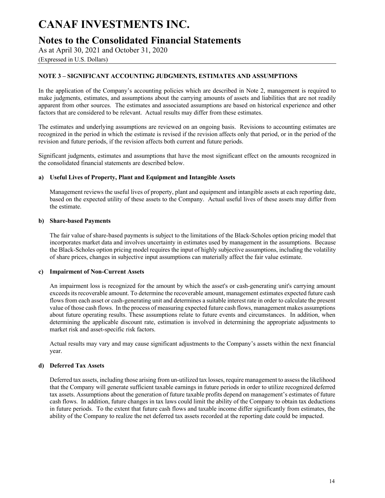# **Notes to the Consolidated Financial Statements**

As at April 30, 2021 and October 31, 2020

## (Expressed in U.S. Dollars)

### **NOTE 3 – SIGNIFICANT ACCOUNTING JUDGMENTS, ESTIMATES AND ASSUMPTIONS**

In the application of the Company's accounting policies which are described in Note 2, management is required to make judgments, estimates, and assumptions about the carrying amounts of assets and liabilities that are not readily apparent from other sources. The estimates and associated assumptions are based on historical experience and other factors that are considered to be relevant. Actual results may differ from these estimates.

The estimates and underlying assumptions are reviewed on an ongoing basis. Revisions to accounting estimates are recognized in the period in which the estimate is revised if the revision affects only that period, or in the period of the revision and future periods, if the revision affects both current and future periods.

Significant judgments, estimates and assumptions that have the most significant effect on the amounts recognized in the consolidated financial statements are described below.

### **a) Useful Lives of Property, Plant and Equipment and Intangible Assets**

Management reviews the useful lives of property, plant and equipment and intangible assets at each reporting date, based on the expected utility of these assets to the Company. Actual useful lives of these assets may differ from the estimate.

### **b) Share-based Payments**

The fair value of share-based payments is subject to the limitations of the Black-Scholes option pricing model that incorporates market data and involves uncertainty in estimates used by management in the assumptions. Because the Black-Scholes option pricing model requires the input of highly subjective assumptions, including the volatility of share prices, changes in subjective input assumptions can materially affect the fair value estimate.

### **c) Impairment of Non-Current Assets**

An impairment loss is recognized for the amount by which the asset's or cash-generating unit's carrying amount exceeds its recoverable amount. To determine the recoverable amount, management estimates expected future cash flows from each asset or cash-generating unit and determines a suitable interest rate in order to calculate the present value of those cash flows. In the process of measuring expected future cash flows, management makes assumptions about future operating results. These assumptions relate to future events and circumstances. In addition, when determining the applicable discount rate, estimation is involved in determining the appropriate adjustments to market risk and asset-specific risk factors.

Actual results may vary and may cause significant adjustments to the Company's assets within the next financial year.

### **d) Deferred Tax Assets**

Deferred tax assets, including those arising from un-utilized tax losses, require management to assess the likelihood that the Company will generate sufficient taxable earnings in future periods in order to utilize recognized deferred tax assets. Assumptions about the generation of future taxable profits depend on management's estimates of future cash flows. In addition, future changes in tax laws could limit the ability of the Company to obtain tax deductions in future periods. To the extent that future cash flows and taxable income differ significantly from estimates, the ability of the Company to realize the net deferred tax assets recorded at the reporting date could be impacted.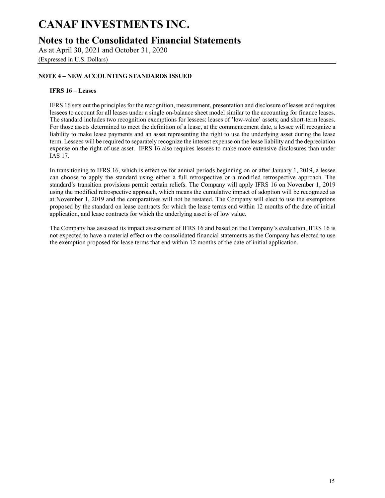# **Notes to the Consolidated Financial Statements**

As at April 30, 2021 and October 31, 2020 (Expressed in U.S. Dollars)

### **NOTE 4 – NEW ACCOUNTING STANDARDS ISSUED**

### **IFRS 16 – Leases**

IFRS 16 sets out the principles for the recognition, measurement, presentation and disclosure of leases and requires lessees to account for all leases under a single on-balance sheet model similar to the accounting for finance leases. The standard includes two recognition exemptions for lessees: leases of 'low-value' assets; and short-term leases. For those assets determined to meet the definition of a lease, at the commencement date, a lessee will recognize a liability to make lease payments and an asset representing the right to use the underlying asset during the lease term. Lessees will be required to separately recognize the interest expense on the lease liability and the depreciation expense on the right-of-use asset. IFRS 16 also requires lessees to make more extensive disclosures than under IAS 17.

In transitioning to IFRS 16, which is effective for annual periods beginning on or after January 1, 2019, a lessee can choose to apply the standard using either a full retrospective or a modified retrospective approach. The standard's transition provisions permit certain reliefs. The Company will apply IFRS 16 on November 1, 2019 using the modified retrospective approach, which means the cumulative impact of adoption will be recognized as at November 1, 2019 and the comparatives will not be restated. The Company will elect to use the exemptions proposed by the standard on lease contracts for which the lease terms end within 12 months of the date of initial application, and lease contracts for which the underlying asset is of low value.

The Company has assessed its impact assessment of IFRS 16 and based on the Company's evaluation, IFRS 16 is not expected to have a material effect on the consolidated financial statements as the Company has elected to use the exemption proposed for lease terms that end within 12 months of the date of initial application.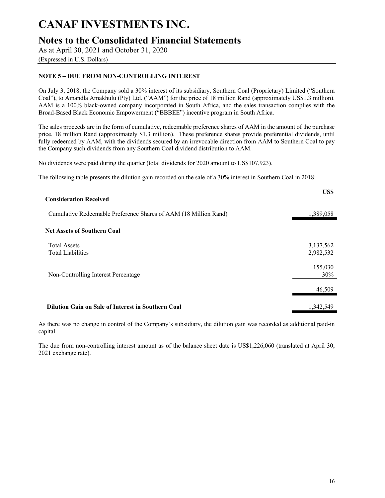# **Notes to the Consolidated Financial Statements**

As at April 30, 2021 and October 31, 2020

## (Expressed in U.S. Dollars)

### **NOTE 5 – DUE FROM NON-CONTROLLING INTEREST**

On July 3, 2018, the Company sold a 30% interest of its subsidiary, Southern Coal (Proprietary) Limited ("Southern Coal"), to Amandla Amakhulu (Pty) Ltd. ("AAM") for the price of 18 million Rand (approximately US\$1.3 million). AAM is a 100% black-owned company incorporated in South Africa, and the sales transaction complies with the Broad-Based Black Economic Empowerment ("BBBEE") incentive program in South Africa.

The sales proceeds are in the form of cumulative, redeemable preference shares of AAM in the amount of the purchase price, 18 million Rand (approximately \$1.3 million). These preference shares provide preferential dividends, until fully redeemed by AAM, with the dividends secured by an irrevocable direction from AAM to Southern Coal to pay the Company such dividends from any Southern Coal dividend distribution to AAM.

No dividends were paid during the quarter (total dividends for 2020 amount to US\$107,923).

The following table presents the dilution gain recorded on the sale of a 30% interest in Southern Coal in 2018:

| <b>Consideration Received</b>                                    | US\$                   |
|------------------------------------------------------------------|------------------------|
| Cumulative Redeemable Preference Shares of AAM (18 Million Rand) | 1,389,058              |
| <b>Net Assets of Southern Coal</b>                               |                        |
| <b>Total Assets</b><br><b>Total Liabilities</b>                  | 3,137,562<br>2,982,532 |
| Non-Controlling Interest Percentage                              | 155,030<br>30%         |
|                                                                  | 46,509                 |
| Dilution Gain on Sale of Interest in Southern Coal               | 1,342,549              |

As there was no change in control of the Company's subsidiary, the dilution gain was recorded as additional paid-in capital.

The due from non-controlling interest amount as of the balance sheet date is US\$1,226,060 (translated at April 30, 2021 exchange rate).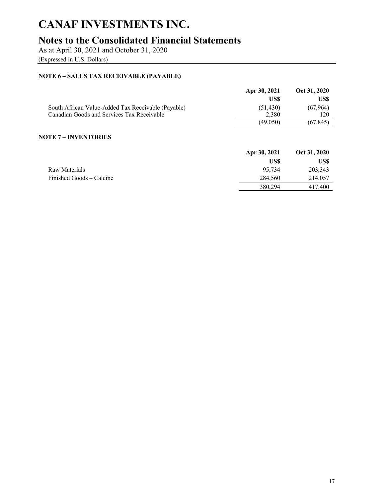# **Notes to the Consolidated Financial Statements**

As at April 30, 2021 and October 31, 2020

(Expressed in U.S. Dollars)

## **NOTE 6 – SALES TAX RECEIVABLE (PAYABLE)**

|                                                    | Apr 30, 2021 | Oct 31, 2020 |
|----------------------------------------------------|--------------|--------------|
|                                                    | US\$         | US\$         |
| South African Value-Added Tax Receivable (Payable) | (51, 430)    | (67, 964)    |
| Canadian Goods and Services Tax Receivable         | 2.380        | 120          |
|                                                    | (49.050)     | (67,845)     |
| <b>NOTE 7 – INVENTORIES</b>                        |              |              |

|                          | Apr 30, 2021 | Oct 31, 2020 |
|--------------------------|--------------|--------------|
|                          | US\$         | US\$         |
| Raw Materials            | 95,734       | 203,343      |
| Finished Goods – Calcine | 284,560      | 214,057      |
|                          | 380,294      | 417,400      |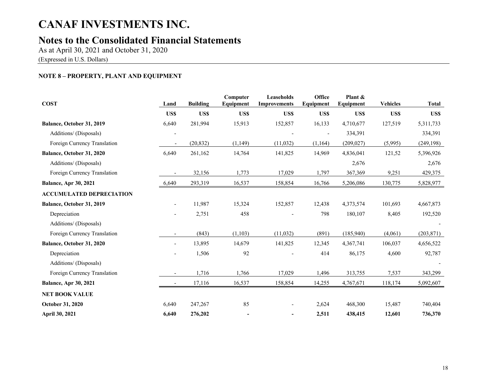# **Notes to the Consolidated Financial Statements**

As at April 30, 2021 and October 31, 2020 (Expressed in U.S. Dollars)

## **NOTE 8 – PROPERTY, PLANT AND EQUIPMENT**

| <b>COST</b>                     | Land                     | <b>Building</b> | Computer<br>Equipment | Leaseholds<br><b>Improvements</b> | Office<br>Equipment | Plant &<br>Equipment | <b>Vehicles</b> | <b>Total</b> |
|---------------------------------|--------------------------|-----------------|-----------------------|-----------------------------------|---------------------|----------------------|-----------------|--------------|
|                                 | US\$                     | US\$            | US\$                  | US\$                              | US\$                | US\$                 | US\$            | US\$         |
| Balance, October 31, 2019       | 6,640                    | 281,994         | 15,913                | 152,857                           | 16,133              | 4,710,677            | 127,519         | 5,311,733    |
| Additions/ (Disposals)          |                          |                 |                       |                                   | $\blacksquare$      | 334,391              |                 | 334,391      |
| Foreign Currency Translation    | $\overline{\phantom{a}}$ | (20, 832)       | (1, 149)              | (11, 032)                         | (1, 164)            | (209, 027)           | (5,995)         | (249, 198)   |
| Balance, October 31, 2020       | 6,640                    | 261,162         | 14,764                | 141,825                           | 14,969              | 4,836,041            | 121,52          | 5,396,926    |
| Additions/ (Disposals)          |                          |                 |                       |                                   |                     | 2,676                |                 | 2,676        |
| Foreign Currency Translation    |                          | 32,156          | 1,773                 | 17,029                            | 1,797               | 367,369              | 9,251           | 429,375      |
| <b>Balance, Apr 30, 2021</b>    | 6,640                    | 293,319         | 16,537                | 158,854                           | 16,766              | 5,206,086            | 130,775         | 5,828,977    |
| <b>ACCUMULATED DEPRECIATION</b> |                          |                 |                       |                                   |                     |                      |                 |              |
| Balance, October 31, 2019       |                          | 11,987          | 15,324                | 152,857                           | 12,438              | 4,373,574            | 101,693         | 4,667,873    |
| Depreciation                    |                          | 2,751           | 458                   |                                   | 798                 | 180,107              | 8,405           | 192,520      |
| Additions/ (Disposals)          |                          |                 |                       |                                   |                     |                      |                 |              |
| Foreign Currency Translation    |                          | (843)           | (1, 103)              | (11, 032)                         | (891)               | (185,940)            | (4,061)         | (203, 871)   |
| Balance, October 31, 2020       |                          | 13,895          | 14,679                | 141,825                           | 12,345              | 4,367,741            | 106,037         | 4,656,522    |
| Depreciation                    |                          | 1,506           | 92                    |                                   | 414                 | 86,175               | 4,600           | 92,787       |
| Additions/ (Disposals)          |                          |                 |                       |                                   |                     |                      |                 |              |
| Foreign Currency Translation    |                          | 1,716           | 1,766                 | 17,029                            | 1,496               | 313,755              | 7,537           | 343,299      |
| <b>Balance, Apr 30, 2021</b>    |                          | 17,116          | 16,537                | 158,854                           | 14,255              | 4,767,671            | 118,174         | 5,092,607    |
| <b>NET BOOK VALUE</b>           |                          |                 |                       |                                   |                     |                      |                 |              |
| <b>October 31, 2020</b>         | 6,640                    | 247,267         | 85                    |                                   | 2,624               | 468,300              | 15,487          | 740,404      |
| April 30, 2021                  | 6,640                    | 276,202         |                       | $\overline{\phantom{a}}$          | 2,511               | 438,415              | 12,601          | 736,370      |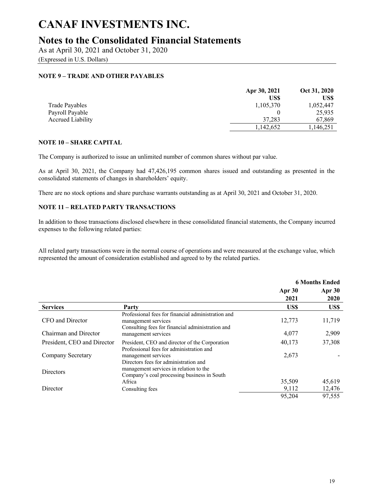# **Notes to the Consolidated Financial Statements**

As at April 30, 2021 and October 31, 2020 (Expressed in U.S. Dollars)

### **NOTE 9 – TRADE AND OTHER PAYABLES**

|                   | Apr 30, 2021 | Oct 31, 2020 |
|-------------------|--------------|--------------|
|                   | US\$         | US\$         |
| Trade Payables    | 1,105,370    | 1,052,447    |
| Payroll Payable   |              | 25,935       |
| Accrued Liability | 37.283       | 67.869       |
|                   | 1.142.652    | 1,146,251    |

### **NOTE 10 – SHARE CAPITAL**

The Company is authorized to issue an unlimited number of common shares without par value.

As at April 30, 2021, the Company had 47,426,195 common shares issued and outstanding as presented in the consolidated statements of changes in shareholders' equity.

There are no stock options and share purchase warrants outstanding as at April 30, 2021 and October 31, 2020.

### **NOTE 11 – RELATED PARTY TRANSACTIONS**

In addition to those transactions disclosed elsewhere in these consolidated financial statements, the Company incurred expenses to the following related parties:

All related party transactions were in the normal course of operations and were measured at the exchange value, which represented the amount of consideration established and agreed to by the related parties.

|                             |                                                                                                                               | <b>6 Months Ended</b> |                |
|-----------------------------|-------------------------------------------------------------------------------------------------------------------------------|-----------------------|----------------|
|                             |                                                                                                                               | Apr 30<br>2021        | Apr 30<br>2020 |
| <b>Services</b>             | Party                                                                                                                         | US\$                  | US\$           |
| CFO and Director            | Professional fees for financial administration and<br>management services<br>Consulting fees for financial administration and | 12,773                | 11,719         |
| Chairman and Director       | management services                                                                                                           | 4,077                 | 2,909          |
| President, CEO and Director | President, CEO and director of the Corporation                                                                                | 40,173                | 37,308         |
| Company Secretary           | Professional fees for administration and<br>management services<br>Directors fees for administration and                      | 2,673                 |                |
| <b>Directors</b>            | management services in relation to the<br>Company's coal processing business in South                                         |                       |                |
|                             | Africa                                                                                                                        | 35,509                | 45,619         |
| Director                    | Consulting fees                                                                                                               | 9,112                 | 12,476         |
|                             |                                                                                                                               | 95,204                | 97,555         |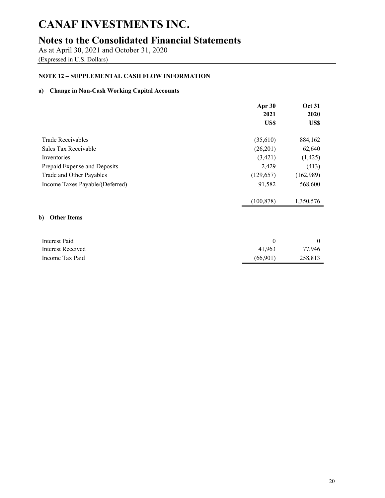# **Notes to the Consolidated Financial Statements**

As at April 30, 2021 and October 31, 2020 (Expressed in U.S. Dollars)

## **NOTE 12 – SUPPLEMENTAL CASH FLOW INFORMATION**

## **a) Change in Non-Cash Working Capital Accounts**

|                                 | Apr 30<br>2021 | <b>Oct 31</b><br>2020 |
|---------------------------------|----------------|-----------------------|
|                                 | US\$           | US\$                  |
| <b>Trade Receivables</b>        | (35,610)       | 884,162               |
| Sales Tax Receivable            | (26,201)       | 62,640                |
| Inventories                     | (3,421)        | (1,425)               |
| Prepaid Expense and Deposits    | 2,429          | (413)                 |
| Trade and Other Payables        | (129, 657)     | (162,989)             |
| Income Taxes Payable/(Deferred) | 91,582         | 568,600               |
|                                 | (100, 878)     | 1,350,576             |
| b)<br><b>Other Items</b>        |                |                       |
| <b>Interest Paid</b>            | $\theta$       | $\mathbf{0}$          |
| Interest Received               | 41,963         | 77,946                |
| Income Tax Paid                 | (66,901)       | 258,813               |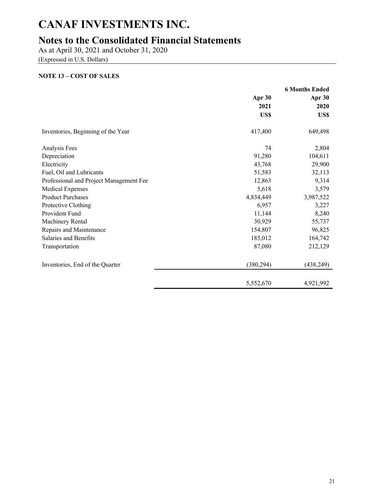# **Notes to the Consolidated Financial Statements**

As at April 30, 2021 and October 31, 2020

(Expressed in U.S. Dollars)

### **NOTE 13 – COST OF SALES**

|                                         | <b>6 Months Ended</b> |            |
|-----------------------------------------|-----------------------|------------|
|                                         | Apr 30<br>Apr 30      |            |
|                                         | 2021                  | 2020       |
|                                         | US\$                  | US\$       |
| Inventories, Beginning of the Year      | 417,400               | 649,498    |
| Analysis Fees                           | 74                    | 2,804      |
| Depreciation                            | 91,280                | 104,611    |
| Electricity                             | 43,768                | 29,900     |
| Fuel, Oil and Lubricants                | 51,583                | 32,113     |
| Professional and Project Management Fee | 12,863                | 9,314      |
| <b>Medical Expenses</b>                 | 5,618                 | 3,579      |
| <b>Product Purchases</b>                | 4,834,449             | 3,987,522  |
| Protective Clothing                     | 6,957                 | 3,227      |
| Provident Fund                          | 11,144                | 8,240      |
| Machinery Rental                        | 30,929                | 55,737     |
| Repairs and Maintenance                 | 154,807               | 96,825     |
| Salaries and Benefits                   | 185,012               | 164,742    |
| Transportation                          | 87,080                | 212,129    |
| Inventories, End of the Quarter         | (380, 294)            | (438, 249) |
|                                         | 5,552,670             | 4,921,992  |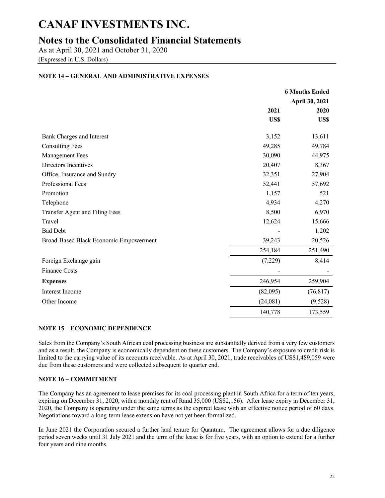# **Notes to the Consolidated Financial Statements**

As at April 30, 2021 and October 31, 2020 (Expressed in U.S. Dollars)

### **NOTE 14 – GENERAL AND ADMINISTRATIVE EXPENSES**

|                                        |          | <b>6 Months Ended</b>  |
|----------------------------------------|----------|------------------------|
|                                        | 2021     | April 30, 2021<br>2020 |
|                                        | US\$     | US\$                   |
| Bank Charges and Interest              | 3,152    | 13,611                 |
| <b>Consulting Fees</b>                 | 49,285   | 49,784                 |
| <b>Management Fees</b>                 | 30,090   | 44,975                 |
| Directors Incentives                   | 20,407   | 8,367                  |
| Office, Insurance and Sundry           | 32,351   | 27,904                 |
| Professional Fees                      | 52,441   | 57,692                 |
| Promotion                              | 1,157    | 521                    |
| Telephone                              | 4,934    | 4,270                  |
| Transfer Agent and Filing Fees         | 8,500    | 6,970                  |
| Travel                                 | 12,624   | 15,666                 |
| <b>Bad Debt</b>                        |          | 1,202                  |
| Broad-Based Black Economic Empowerment | 39,243   | 20,526                 |
|                                        | 254,184  | 251,490                |
| Foreign Exchange gain                  | (7,229)  | 8,414                  |
| <b>Finance Costs</b>                   |          |                        |
| <b>Expenses</b>                        | 246,954  | 259,904                |
| Interest Income                        | (82,095) | (76, 817)              |
| Other Income                           | (24,081) | (9,528)                |
|                                        | 140,778  | 173,559                |

### **NOTE 15 – ECONOMIC DEPENDENCE**

Sales from the Company's South African coal processing business are substantially derived from a very few customers and as a result, the Company is economically dependent on these customers. The Company's exposure to credit risk is limited to the carrying value of its accounts receivable. As at April 30, 2021, trade receivables of US\$1,489,059 were due from these customers and were collected subsequent to quarter end.

### **NOTE 16 – COMMITMENT**

The Company has an agreement to lease premises for its coal processing plant in South Africa for a term of ten years, expiring on December 31, 2020, with a monthly rent of Rand 35,000 (US\$2,156). After lease expiry in December 31, 2020, the Company is operating under the same terms as the expired lease with an effective notice period of 60 days. Negotiations toward a long-term lease extension have not yet been formalized.

In June 2021 the Corporation secured a further land tenure for Quantum. The agreement allows for a due diligence period seven weeks until 31 July 2021 and the term of the lease is for five years, with an option to extend for a further four years and nine months.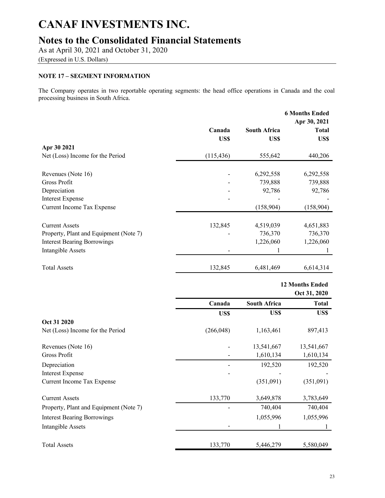# **Notes to the Consolidated Financial Statements**

As at April 30, 2021 and October 31, 2020

(Expressed in U.S. Dollars)

## **NOTE 17 – SEGMENT INFORMATION**

The Company operates in two reportable operating segments: the head office operations in Canada and the coal processing business in South Africa.

|                                        |            |                     | <b>6 Months Ended</b><br>Apr 30, 2021  |
|----------------------------------------|------------|---------------------|----------------------------------------|
|                                        | Canada     | <b>South Africa</b> | <b>Total</b>                           |
|                                        | US\$       | US\$                | US\$                                   |
| Apr 30 2021                            |            |                     |                                        |
| Net (Loss) Income for the Period       | (115, 436) | 555,642             | 440,206                                |
| Revenues (Note 16)                     |            | 6,292,558           | 6,292,558                              |
| Gross Profit                           |            | 739,888             | 739,888                                |
| Depreciation                           |            | 92,786              | 92,786                                 |
| <b>Interest Expense</b>                |            |                     |                                        |
| Current Income Tax Expense             |            | (158,904)           | (158,904)                              |
| <b>Current Assets</b>                  | 132,845    | 4,519,039           | 4,651,883                              |
| Property, Plant and Equipment (Note 7) |            | 736,370             | 736,370                                |
| <b>Interest Bearing Borrowings</b>     |            | 1,226,060           | 1,226,060                              |
| <b>Intangible Assets</b>               |            | 1                   | 1                                      |
| <b>Total Assets</b>                    | 132,845    | 6,481,469           | 6,614,314                              |
|                                        |            |                     |                                        |
|                                        |            |                     | <b>12 Months Ended</b><br>Oct 31, 2020 |
|                                        | Canada     | <b>South Africa</b> | <b>Total</b>                           |
|                                        | US\$       | US\$                | US\$                                   |
| Oct 31 2020                            |            |                     |                                        |
| Net (Loss) Income for the Period       | (266, 048) | 1,163,461           | 897,413                                |
| Revenues (Note 16)                     |            | 13,541,667          | 13,541,667                             |
| Gross Profit                           |            |                     |                                        |
|                                        |            | 1,610,134           | 1,610,134                              |
| Depreciation                           |            | 192,520             | 192,520                                |
| <b>Interest Expense</b>                |            |                     |                                        |
| Current Income Tax Expense             |            | (351,091)           | (351,091)                              |
| <b>Current Assets</b>                  | 133,770    | 3,649,878           | 3,783,649                              |
| Property, Plant and Equipment (Note 7) |            | 740,404             | 740,404                                |
| <b>Interest Bearing Borrowings</b>     |            | 1,055,996           | 1,055,996                              |
| Intangible Assets                      |            |                     |                                        |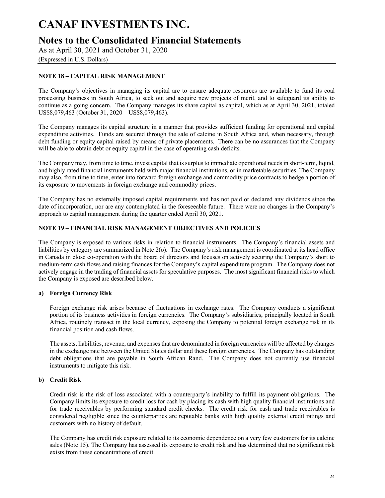# **Notes to the Consolidated Financial Statements**

As at April 30, 2021 and October 31, 2020

(Expressed in U.S. Dollars)

## **NOTE 18 – CAPITAL RISK MANAGEMENT**

The Company's objectives in managing its capital are to ensure adequate resources are available to fund its coal processing business in South Africa, to seek out and acquire new projects of merit, and to safeguard its ability to continue as a going concern. The Company manages its share capital as capital, which as at April 30, 2021, totaled US\$8,079,463 (October 31, 2020 – US\$8,079,463).

The Company manages its capital structure in a manner that provides sufficient funding for operational and capital expenditure activities. Funds are secured through the sale of calcine in South Africa and, when necessary, through debt funding or equity capital raised by means of private placements. There can be no assurances that the Company will be able to obtain debt or equity capital in the case of operating cash deficits.

The Company may, from time to time, invest capital that is surplus to immediate operational needs in short-term, liquid, and highly rated financial instruments held with major financial institutions, or in marketable securities. The Company may also, from time to time, enter into forward foreign exchange and commodity price contracts to hedge a portion of its exposure to movements in foreign exchange and commodity prices.

The Company has no externally imposed capital requirements and has not paid or declared any dividends since the date of incorporation, nor are any contemplated in the foreseeable future. There were no changes in the Company's approach to capital management during the quarter ended April 30, 2021.

### **NOTE 19 – FINANCIAL RISK MANAGEMENT OBJECTIVES AND POLICIES**

The Company is exposed to various risks in relation to financial instruments. The Company's financial assets and liabilities by category are summarized in Note 2(o). The Company's risk management is coordinated at its head office in Canada in close co-operation with the board of directors and focuses on actively securing the Company's short to medium-term cash flows and raising finances for the Company's capital expenditure program. The Company does not actively engage in the trading of financial assets for speculative purposes. The most significant financial risks to which the Company is exposed are described below.

### **a) Foreign Currency Risk**

Foreign exchange risk arises because of fluctuations in exchange rates. The Company conducts a significant portion of its business activities in foreign currencies. The Company's subsidiaries, principally located in South Africa, routinely transact in the local currency, exposing the Company to potential foreign exchange risk in its financial position and cash flows.

The assets, liabilities, revenue, and expenses that are denominated in foreign currencies will be affected by changes in the exchange rate between the United States dollar and these foreign currencies. The Company has outstanding debt obligations that are payable in South African Rand. The Company does not currently use financial instruments to mitigate this risk.

### **b) Credit Risk**

Credit risk is the risk of loss associated with a counterparty's inability to fulfill its payment obligations. The Company limits its exposure to credit loss for cash by placing its cash with high quality financial institutions and for trade receivables by performing standard credit checks. The credit risk for cash and trade receivables is considered negligible since the counterparties are reputable banks with high quality external credit ratings and customers with no history of default.

The Company has credit risk exposure related to its economic dependence on a very few customers for its calcine sales (Note 15). The Company has assessed its exposure to credit risk and has determined that no significant risk exists from these concentrations of credit.